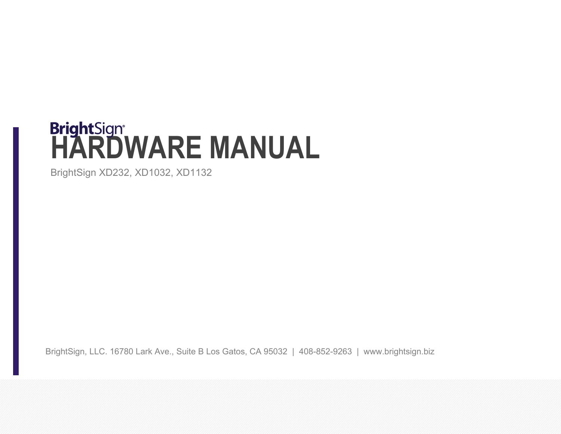# **BrightSign<sup>®</sup><br>HARDWARE MANUAL**

BrightSign XD232, XD1032, XD1132

BrightSign, LLC. 16780 Lark Ave., Suite B Los Gatos, CA 95032 | 408-852-9263 | www.brightsign.biz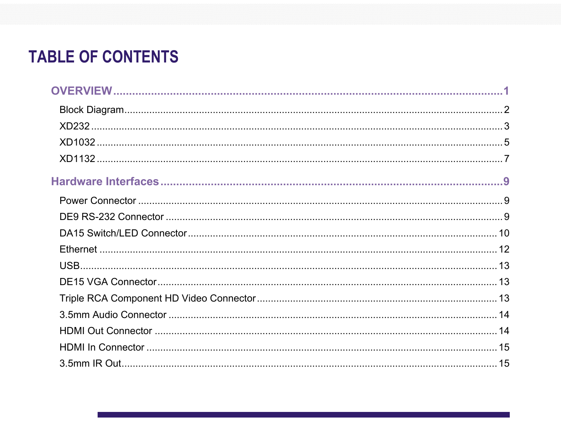# **TABLE OF CONTENTS**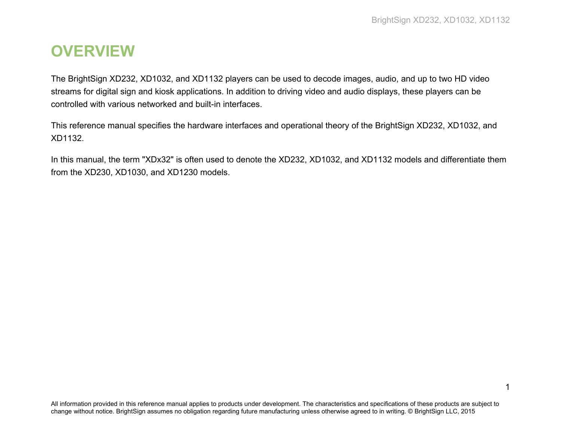# <span id="page-4-0"></span>**OVERVIEW**

The BrightSign XD232, XD1032, and XD1132 players can be used to decode images, audio, and up to two HD video streams for digital sign and kiosk applications. In addition to driving video and audio displays, these players can be controlled with various networked and built-in interfaces.

This reference manual specifies the hardware interfaces and operational theory of the BrightSign XD232, XD1032, and XD1132.

In this manual, the term "XDx32" is often used to denote the XD232, XD1032, and XD1132 models and differentiate them from the XD230, XD1030, and XD1230 models.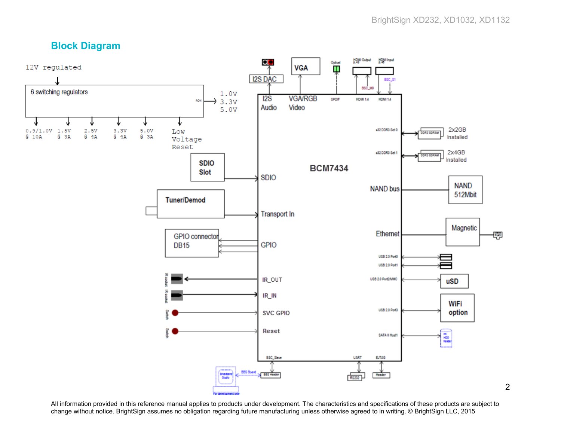# <span id="page-5-0"></span>**Block Diagram**



All information provided in this reference manual applies to products under development. The characteristics and specifications of these products are subject to change without notice. BrightSign assumes no obligation regarding future manufacturing unless otherwise agreed to in writing. © BrightSign LLC, 2015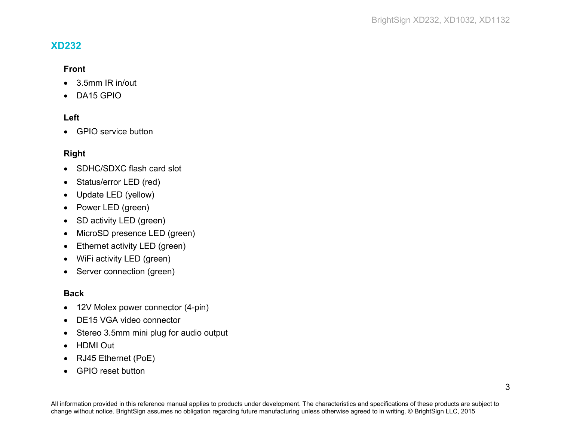#### <span id="page-6-0"></span>**XD232**

#### **Front**

- 3.5mm IR in/out
- DA15 GPIO

#### **Left**

• GPIO service button

#### **Right**

- SDHC/SDXC flash card slot
- Status/error LED (red)
- Update LED (yellow)
- Power LED (green)
- SD activity LED (green)
- MicroSD presence LED (green)
- Ethernet activity LED (green)
- WiFi activity LED (green)
- Server connection (green)

#### **Back**

- 12V Molex power connector (4-pin)
- DE15 VGA video connector
- Stereo 3.5mm mini plug for audio output
- HDMI Out
- RJ45 Ethernet (PoE)
- GPIO reset button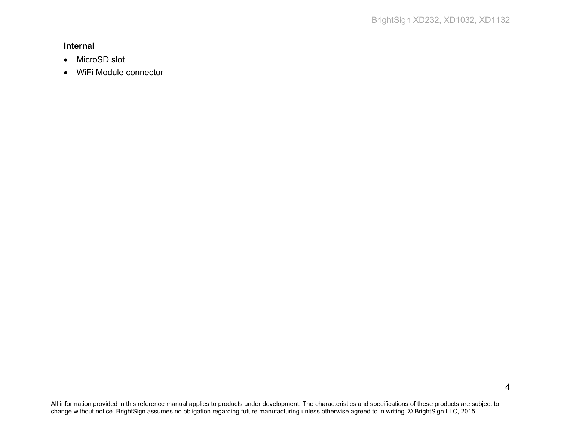#### **Internal**

- MicroSD slot
- WiFi Module connector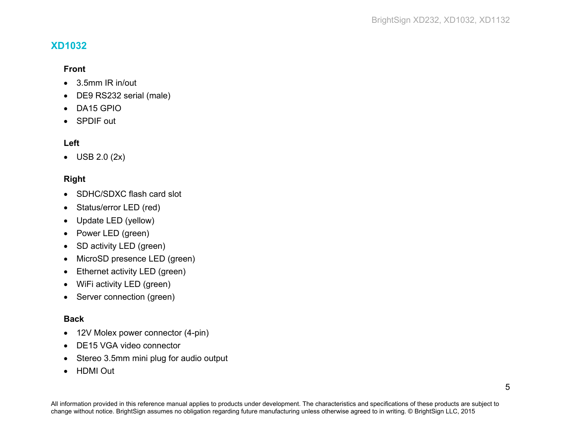# <span id="page-8-0"></span>**XD1032**

#### **Front**

- 3.5mm IR in/out
- DE9 RS232 serial (male)
- DA15 GPIO
- SPDIF out

#### **Left**

• USB 2.0 (2x)

#### **Right**

- SDHC/SDXC flash card slot
- Status/error LED (red)
- Update LED (yellow)
- Power LED (green)
- SD activity LED (green)
- MicroSD presence LED (green)
- Ethernet activity LED (green)
- WiFi activity LED (green)
- Server connection (green)

#### **Back**

- 12V Molex power connector (4-pin)
- DE15 VGA video connector
- Stereo 3.5mm mini plug for audio output
- HDMI Out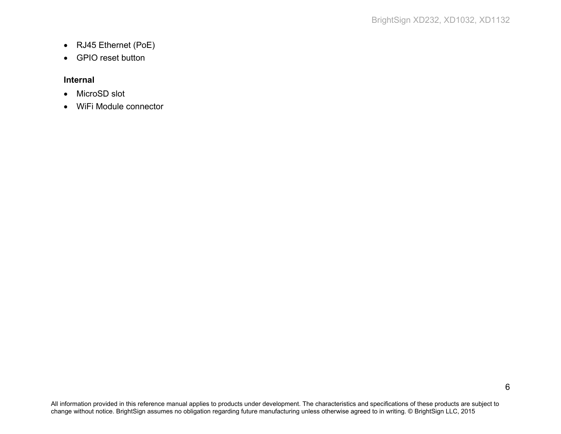- RJ45 Ethernet (PoE)
- GPIO reset button

#### **Internal**

- MicroSD slot
- WiFi Module connector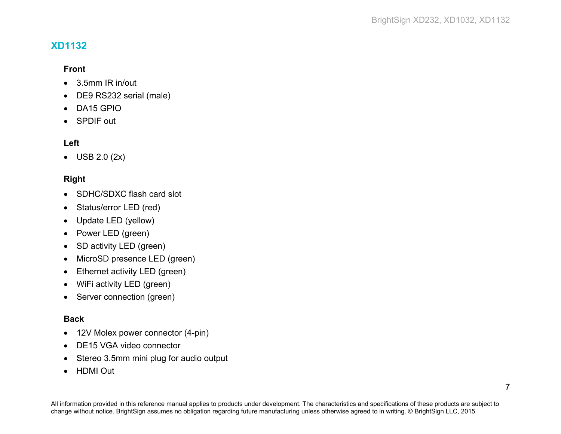# <span id="page-10-0"></span>**XD1132**

#### **Front**

- 3.5mm IR in/out
- DE9 RS232 serial (male)
- DA15 GPIO
- SPDIF out

#### **Left**

• USB 2.0 (2x)

#### **Right**

- SDHC/SDXC flash card slot
- Status/error LED (red)
- Update LED (yellow)
- Power LED (green)
- SD activity LED (green)
- MicroSD presence LED (green)
- Ethernet activity LED (green)
- WiFi activity LED (green)
- Server connection (green)

#### **Back**

- 12V Molex power connector (4-pin)
- DE15 VGA video connector
- Stereo 3.5mm mini plug for audio output
- HDMI Out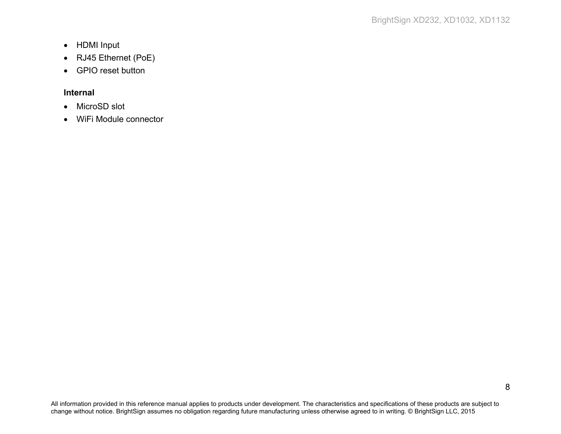- HDMI Input
- RJ45 Ethernet (PoE)
- GPIO reset button

#### **Internal**

- MicroSD slot
- WiFi Module connector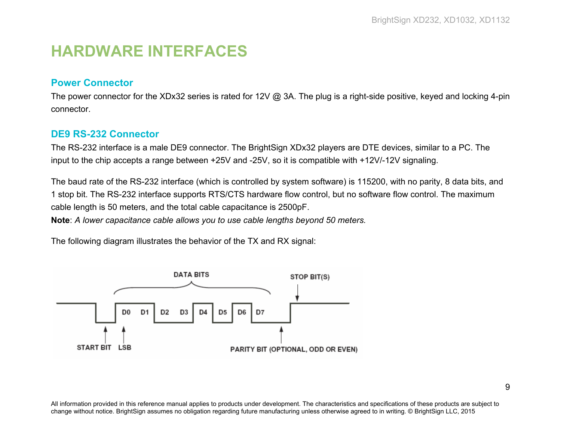# <span id="page-12-0"></span>**HARDWARE INTERFACES**

### <span id="page-12-1"></span>**Power Connector**

The power connector for the XDx32 series is rated for 12V @ 3A. The plug is a right-side positive, keyed and locking 4-pin connector.

#### <span id="page-12-2"></span>**DE9 RS-232 Connector**

The RS-232 interface is a male DE9 connector. The BrightSign XDx32 players are DTE devices, similar to a PC. The input to the chip accepts a range between +25V and -25V, so it is compatible with +12V/-12V signaling.

The baud rate of the RS-232 interface (which is controlled by system software) is 115200, with no parity, 8 data bits, and 1 stop bit. The RS-232 interface supports RTS/CTS hardware flow control, but no software flow control. The maximum cable length is 50 meters, and the total cable capacitance is 2500pF.

**Note**: *A lower capacitance cable allows you to use cable lengths beyond 50 meters.*

The following diagram illustrates the behavior of the TX and RX signal:

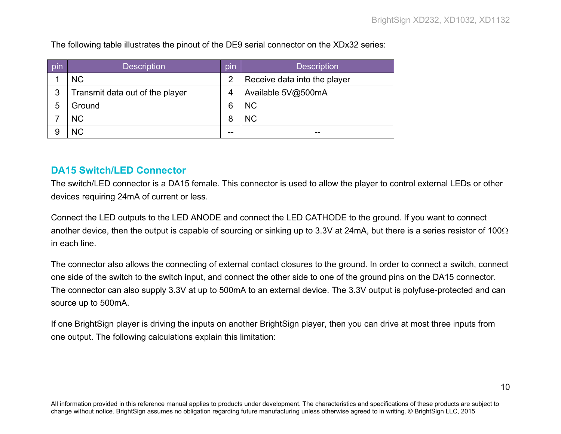The following table illustrates the pinout of the DE9 serial connector on the XDx32 series:

| pin | <b>Description</b>              | pin            | <b>Description</b>           |
|-----|---------------------------------|----------------|------------------------------|
|     | <b>NC</b>                       | $\overline{2}$ | Receive data into the player |
| 3   | Transmit data out of the player | 4              | Available 5V@500mA           |
| 5   | Ground                          | 6              | <b>NC</b>                    |
|     | <b>NC</b>                       | 8              | <b>NC</b>                    |
| 9   | <b>NC</b>                       | --             | --                           |

### <span id="page-13-0"></span>**DA15 Switch/LED Connector**

The switch/LED connector is a DA15 female. This connector is used to allow the player to control external LEDs or other devices requiring 24mA of current or less.

Connect the LED outputs to the LED ANODE and connect the LED CATHODE to the ground. If you want to connect another device, then the output is capable of sourcing or sinking up to 3.3V at 24mA, but there is a series resistor of 100 $\Omega$ in each line.

The connector also allows the connecting of external contact closures to the ground. In order to connect a switch, connect one side of the switch to the switch input, and connect the other side to one of the ground pins on the DA15 connector. The connector can also supply 3.3V at up to 500mA to an external device. The 3.3V output is polyfuse-protected and can source up to 500mA.

If one BrightSign player is driving the inputs on another BrightSign player, then you can drive at most three inputs from one output. The following calculations explain this limitation: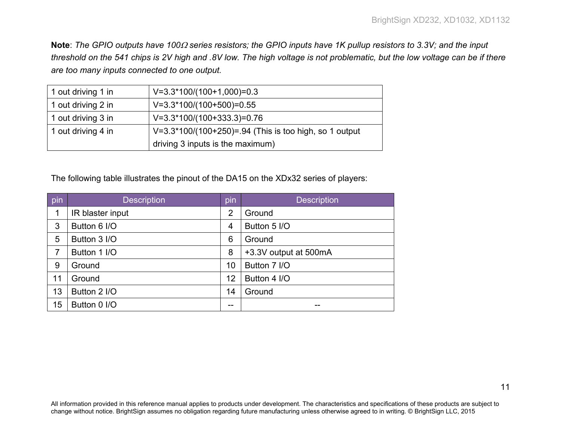**Note**: *The GPIO outputs have 100*<sup>Ω</sup> *series resistors; the GPIO inputs have 1K pullup resistors to 3.3V; and the input threshold on the 541 chips is 2V high and .8V low. The high voltage is not problematic, but the low voltage can be if there are too many inputs connected to one output.*

| 1 out driving 1 in | $V=3.3*100/(100+1,000)=0.3$                              |
|--------------------|----------------------------------------------------------|
| 1 out driving 2 in | $V=3.3*100/(100+500)=0.55$                               |
| 1 out driving 3 in | $V=3.3*100/(100+333.3)=0.76$                             |
| 1 out driving 4 in | $V=3.3*100/(100+250)=.94$ (This is too high, so 1 output |
|                    | driving 3 inputs is the maximum)                         |

The following table illustrates the pinout of the DA15 on the XDx32 series of players:

| pin | <b>Description</b> | pin            | <b>Description</b>    |
|-----|--------------------|----------------|-----------------------|
| 1   | IR blaster input   | $\overline{2}$ | Ground                |
| 3   | Button 6 I/O       | $\overline{4}$ | Button 5 I/O          |
| 5   | Button 3 I/O       | 6              | Ground                |
| 7   | Button 1 I/O       | 8              | +3.3V output at 500mA |
| 9   | Ground             | 10             | Button 7 I/O          |
| 11  | Ground             | 12             | Button 4 I/O          |
| 13  | Button 2 I/O       | 14             | Ground                |
| 15  | Button 0 I/O       | --             | --                    |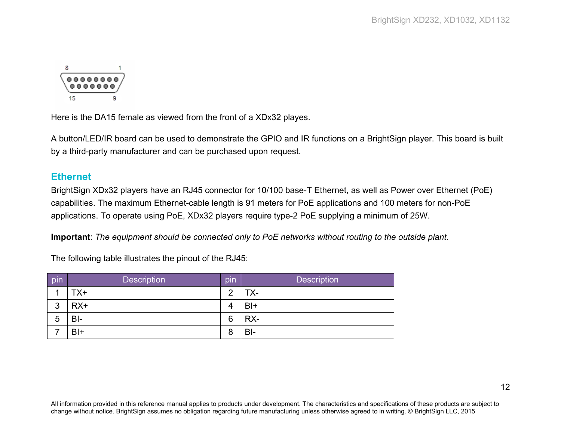

Here is the DA15 female as viewed from the front of a XDx32 playes.

A button/LED/IR board can be used to demonstrate the GPIO and IR functions on a BrightSign player. This board is built by a third-party manufacturer and can be purchased upon request.

#### <span id="page-15-0"></span>**Ethernet**

BrightSign XDx32 players have an RJ45 connector for 10/100 base-T Ethernet, as well as Power over Ethernet (PoE) capabilities. The maximum Ethernet-cable length is 91 meters for PoE applications and 100 meters for non-PoE applications. To operate using PoE, XDx32 players require type-2 PoE supplying a minimum of 25W.

**Important**: *The equipment should be connected only to PoE networks without routing to the outside plant.*

The following table illustrates the pinout of the RJ45:

| pin | <b>Description</b> | pin | <b>Description</b> |
|-----|--------------------|-----|--------------------|
|     | TX+                | റ   | TX-                |
| 3   | $RX+$              | 4   | BI+                |
| 5   | $B-I$              | 6   | RX-                |
|     | $B+$               | 8   | BI-                |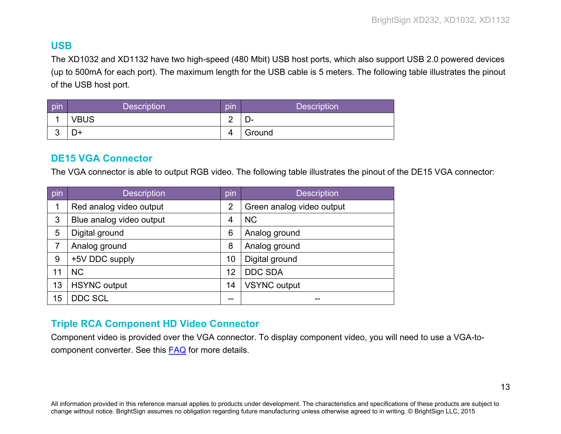# <span id="page-16-0"></span>**USB**

The XD1032 and XD1132 have two high-speed (480 Mbit) USB host ports, which also support USB 2.0 powered devices (up to 500mA for each port). The maximum length for the USB cable is 5 meters. The following table illustrates the pinout of the USB host port.

| pin        | <b>Description</b> | pin    | <b>Description</b> |
|------------|--------------------|--------|--------------------|
|            | <b>VBUS</b>        | ⌒<br>- | – ب                |
| $\sqrt{2}$ | D+                 | Δ      | Ground             |

#### <span id="page-16-1"></span>**DE15 VGA Connector**

The VGA connector is able to output RGB video. The following table illustrates the pinout of the DE15 VGA connector:

| pin | <b>Description</b>       | pin            | <b>Description</b>        |
|-----|--------------------------|----------------|---------------------------|
| 1   | Red analog video output  | $\overline{2}$ | Green analog video output |
| 3   | Blue analog video output | 4              | <b>NC</b>                 |
| 5   | Digital ground           | 6              | Analog ground             |
| 7   | Analog ground            | 8              | Analog ground             |
| 9   | +5V DDC supply           | 10             | Digital ground            |
| 11  | <b>NC</b>                | 12             | <b>DDC SDA</b>            |
| 13  | <b>HSYNC</b> output      | 14             | <b>VSYNC</b> output       |
| 15  | <b>DDC SCL</b>           | --             |                           |

# <span id="page-16-2"></span>**Triple RCA Component HD Video Connector**

Component video is provided over the VGA connector. To display component video, you will need to use a VGA-tocomponent converter. See this [FAQ](http://support.brightsign.biz/entries/22929977-Can-I-use-component-and-composite-video-with-BrightSign-players-) for more details.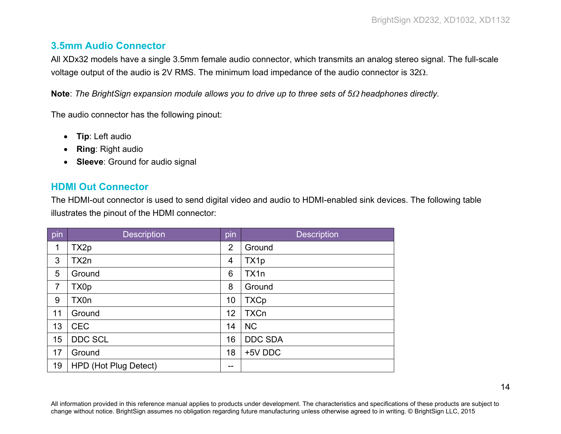# <span id="page-17-0"></span>**3.5mm Audio Connector**

All XDx32 models have a single 3.5mm female audio connector, which transmits an analog stereo signal. The full-scale voltage output of the audio is 2V RMS. The minimum load impedance of the audio connector is 32Ω.

**Note**: *The BrightSign expansion module allows you to drive up to three sets of 5*<sup>Ω</sup> *headphones directly.*

The audio connector has the following pinout:

- **Tip**: Left audio
- **Ring**: Right audio
- **Sleeve**: Ground for audio signal

# <span id="page-17-1"></span>**HDMI Out Connector**

The HDMI-out connector is used to send digital video and audio to HDMI-enabled sink devices. The following table illustrates the pinout of the HDMI connector:

| pin            | <b>Description</b>    | pin            | <b>Description</b> |
|----------------|-----------------------|----------------|--------------------|
| 1              | TX2p                  | $\overline{2}$ | Ground             |
| 3              | TX2n                  | 4              | TX1p               |
| 5              | Ground                | 6              | TX <sub>1</sub> n  |
| $\overline{7}$ | TX0p                  | 8              | Ground             |
| 9              | TX0n                  | 10             | <b>TXCp</b>        |
| 11             | Ground                | 12             | <b>TXCn</b>        |
| 13             | <b>CEC</b>            | 14             | <b>NC</b>          |
| 15             | DDC SCL               | 16             | <b>DDC SDA</b>     |
| 17             | Ground                | 18             | +5V DDC            |
| 19             | HPD (Hot Plug Detect) | --             |                    |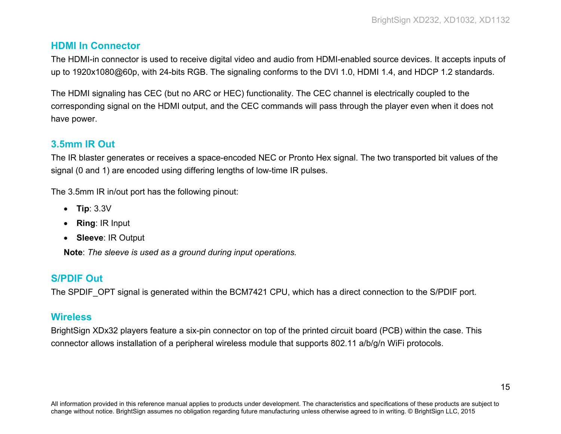## <span id="page-18-0"></span>**HDMI In Connector**

The HDMI-in connector is used to receive digital video and audio from HDMI-enabled source devices. It accepts inputs of up to 1920x1080@60p, with 24-bits RGB. The signaling conforms to the DVI 1.0, HDMI 1.4, and HDCP 1.2 standards.

The HDMI signaling has CEC (but no ARC or HEC) functionality. The CEC channel is electrically coupled to the corresponding signal on the HDMI output, and the CEC commands will pass through the player even when it does not have power.

# <span id="page-18-1"></span>**3.5mm IR Out**

The IR blaster generates or receives a space-encoded NEC or Pronto Hex signal. The two transported bit values of the signal (0 and 1) are encoded using differing lengths of low-time IR pulses.

The 3.5mm IR in/out port has the following pinout:

- **Tip**: 3.3V
- **Ring**: IR Input
- **Sleeve**: IR Output

**Note**: *The sleeve is used as a ground during input operations.*

# <span id="page-18-2"></span>**S/PDIF Out**

The SPDIF OPT signal is generated within the BCM7421 CPU, which has a direct connection to the S/PDIF port.

# <span id="page-18-3"></span>**Wireless**

BrightSign XDx32 players feature a six-pin connector on top of the printed circuit board (PCB) within the case. This connector allows installation of a peripheral wireless module that supports 802.11 a/b/g/n WiFi protocols.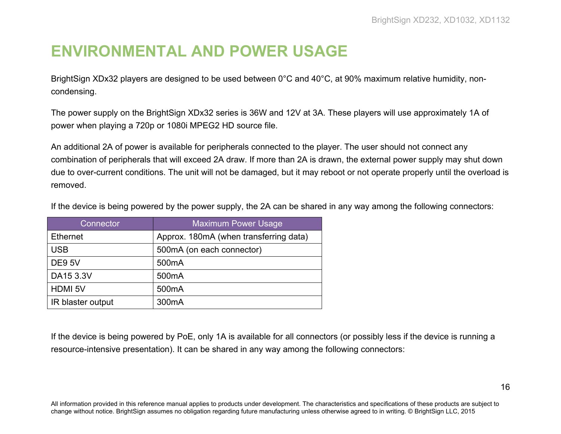# <span id="page-19-0"></span>**ENVIRONMENTAL AND POWER USAGE**

BrightSign XDx32 players are designed to be used between 0°C and 40°C, at 90% maximum relative humidity, noncondensing.

The power supply on the BrightSign XDx32 series is 36W and 12V at 3A. These players will use approximately 1A of power when playing a 720p or 1080i MPEG2 HD source file.

An additional 2A of power is available for peripherals connected to the player. The user should not connect any combination of peripherals that will exceed 2A draw. If more than 2A is drawn, the external power supply may shut down due to over-current conditions. The unit will not be damaged, but it may reboot or not operate properly until the overload is removed.

| Connector         | <b>Maximum Power Usage</b>             |
|-------------------|----------------------------------------|
| <b>Ethernet</b>   | Approx. 180mA (when transferring data) |
| <b>USB</b>        | 500mA (on each connector)              |
| <b>DE9 5V</b>     | 500 <sub>m</sub> A                     |
| DA15 3.3V         | 500 <sub>m</sub> A                     |
| <b>HDMI 5V</b>    | 500 <sub>m</sub> A                     |
| IR blaster output | 300 <sub>m</sub> A                     |

If the device is being powered by the power supply, the 2A can be shared in any way among the following connectors:

If the device is being powered by PoE, only 1A is available for all connectors (or possibly less if the device is running a resource-intensive presentation). It can be shared in any way among the following connectors: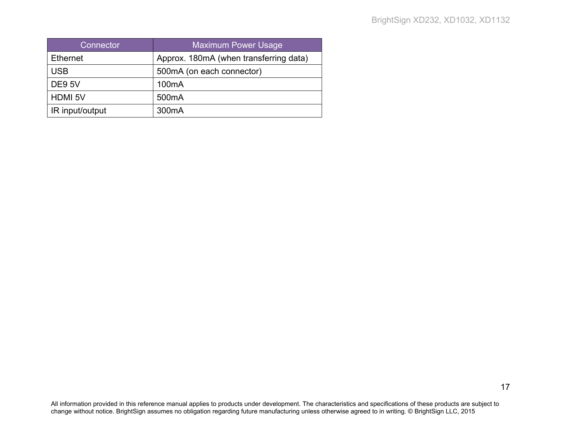| Connector       | <b>Maximum Power Usage</b>             |
|-----------------|----------------------------------------|
| <b>Ethernet</b> | Approx. 180mA (when transferring data) |
| <b>USB</b>      | 500mA (on each connector)              |
| <b>DE9 5V</b>   | 100 <sub>m</sub> A                     |
| <b>HDMI 5V</b>  | 500 <sub>m</sub> A                     |
| IR input/output | 300 <sub>m</sub> A                     |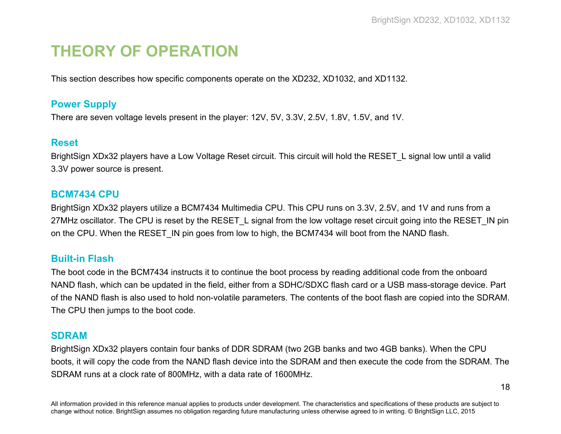# <span id="page-21-0"></span>**THEORY OF OPERATION**

This section describes how specific components operate on the XD232, XD1032, and XD1132.

# <span id="page-21-1"></span>**Power Supply**

There are seven voltage levels present in the player: 12V, 5V, 3.3V, 2.5V, 1.8V, 1.5V, and 1V.

#### <span id="page-21-2"></span>**Reset**

BrightSign XDx32 players have a Low Voltage Reset circuit. This circuit will hold the RESET\_L signal low until a valid 3.3V power source is present.

#### <span id="page-21-3"></span>**BCM7434 CPU**

BrightSign XDx32 players utilize a BCM7434 Multimedia CPU. This CPU runs on 3.3V, 2.5V, and 1V and runs from a 27MHz oscillator. The CPU is reset by the RESET\_L signal from the low voltage reset circuit going into the RESET\_IN pin on the CPU. When the RESET IN pin goes from low to high, the BCM7434 will boot from the NAND flash.

# <span id="page-21-4"></span>**Built-in Flash**

The boot code in the BCM7434 instructs it to continue the boot process by reading additional code from the onboard NAND flash, which can be updated in the field, either from a SDHC/SDXC flash card or a USB mass-storage device. Part of the NAND flash is also used to hold non-volatile parameters. The contents of the boot flash are copied into the SDRAM. The CPU then jumps to the boot code.

#### <span id="page-21-5"></span>**SDRAM**

BrightSign XDx32 players contain four banks of DDR SDRAM (two 2GB banks and two 4GB banks). When the CPU boots, it will copy the code from the NAND flash device into the SDRAM and then execute the code from the SDRAM. The SDRAM runs at a clock rate of 800MHz, with a data rate of 1600MHz.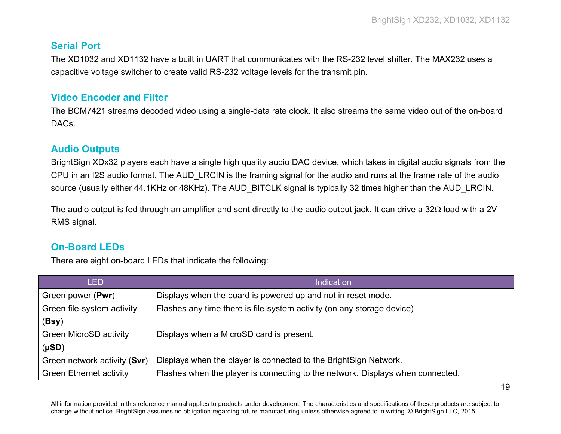# <span id="page-22-0"></span>**Serial Port**

The XD1032 and XD1132 have a built in UART that communicates with the RS-232 level shifter. The MAX232 uses a capacitive voltage switcher to create valid RS-232 voltage levels for the transmit pin.

# <span id="page-22-1"></span>**Video Encoder and Filter**

The BCM7421 streams decoded video using a single-data rate clock. It also streams the same video out of the on-board DACs.

# <span id="page-22-2"></span>**Audio Outputs**

BrightSign XDx32 players each have a single high quality audio DAC device, which takes in digital audio signals from the CPU in an I2S audio format. The AUD\_LRCIN is the framing signal for the audio and runs at the frame rate of the audio source (usually either 44.1KHz or 48KHz). The AUD BITCLK signal is typically 32 times higher than the AUD LRCIN.

The audio output is fed through an amplifier and sent directly to the audio output jack. It can drive a 32Ω load with a 2V RMS signal.

# <span id="page-22-3"></span>**On-Board LEDs**

There are eight on-board LEDs that indicate the following:

| <b>LED</b>                     | <b>Indication</b>                                                              |
|--------------------------------|--------------------------------------------------------------------------------|
| Green power (Pwr)              | Displays when the board is powered up and not in reset mode.                   |
| Green file-system activity     | Flashes any time there is file-system activity (on any storage device)         |
| (Bsy)                          |                                                                                |
| <b>Green MicroSD activity</b>  | Displays when a MicroSD card is present.                                       |
| $(\mu SD)$                     |                                                                                |
| Green network activity (Svr)   | Displays when the player is connected to the BrightSign Network.               |
| <b>Green Ethernet activity</b> | Flashes when the player is connecting to the network. Displays when connected. |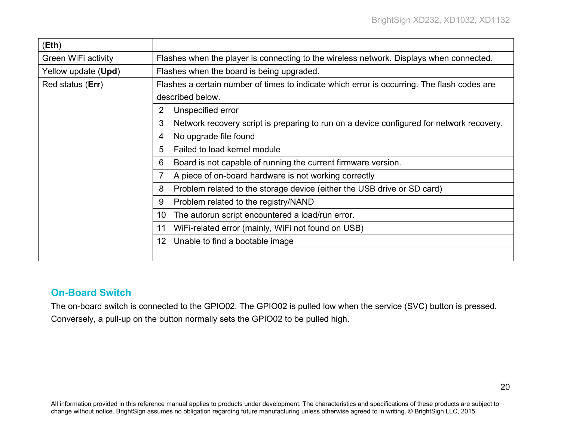| (Eth)                        |                                                                                         |                                                                                             |  |
|------------------------------|-----------------------------------------------------------------------------------------|---------------------------------------------------------------------------------------------|--|
| Green WiFi activity          | Flashes when the player is connecting to the wireless network. Displays when connected. |                                                                                             |  |
| Yellow update ( <b>Upd</b> ) | Flashes when the board is being upgraded.                                               |                                                                                             |  |
| Red status (Err)             |                                                                                         | Flashes a certain number of times to indicate which error is occurring. The flash codes are |  |
|                              | described below.                                                                        |                                                                                             |  |
|                              | 2                                                                                       | Unspecified error                                                                           |  |
|                              | 3                                                                                       | Network recovery script is preparing to run on a device configured for network recovery.    |  |
|                              |                                                                                         | No upgrade file found                                                                       |  |
|                              | 5                                                                                       | Failed to load kernel module                                                                |  |
|                              | 6                                                                                       | Board is not capable of running the current firmware version.                               |  |
|                              |                                                                                         | A piece of on-board hardware is not working correctly                                       |  |
|                              | 8                                                                                       | Problem related to the storage device (either the USB drive or SD card)                     |  |
|                              | 9                                                                                       | Problem related to the registry/NAND                                                        |  |
|                              | 10                                                                                      | The autorun script encountered a load/run error.                                            |  |
|                              | 11                                                                                      | WiFi-related error (mainly, WiFi not found on USB)                                          |  |
|                              | $12 \overline{ }$                                                                       | Unable to find a bootable image                                                             |  |
|                              |                                                                                         |                                                                                             |  |

# <span id="page-23-0"></span>**On-Board Switch**

The on-board switch is connected to the GPIO02. The GPIO02 is pulled low when the service (SVC) button is pressed. Conversely, a pull-up on the button normally sets the GPIO02 to be pulled high.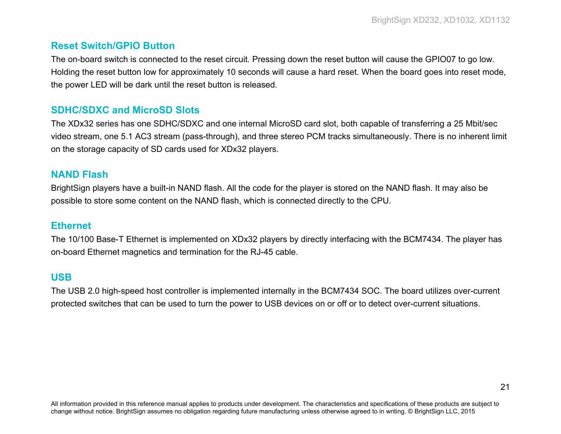# <span id="page-24-0"></span>**Reset Switch/GPIO Button**

The on-board switch is connected to the reset circuit. Pressing down the reset button will cause the GPIO07 to go low. Holding the reset button low for approximately 10 seconds will cause a hard reset. When the board goes into reset mode, the power LED will be dark until the reset button is released.

### <span id="page-24-1"></span>**SDHC/SDXC and MicroSD Slots**

The XDx32 series has one SDHC/SDXC and one internal MicroSD card slot, both capable of transferring a 25 Mbit/sec video stream, one 5.1 AC3 stream (pass-through), and three stereo PCM tracks simultaneously. There is no inherent limit on the storage capacity of SD cards used for XDx32 players.

#### <span id="page-24-2"></span>**NAND Flash**

BrightSign players have a built-in NAND flash. All the code for the player is stored on the NAND flash. It may also be possible to store some content on the NAND flash, which is connected directly to the CPU.

#### <span id="page-24-3"></span>**Ethernet**

The 10/100 Base-T Ethernet is implemented on XDx32 players by directly interfacing with the BCM7434. The player has on-board Ethernet magnetics and termination for the RJ-45 cable.

# <span id="page-24-4"></span>**USB**

The USB 2.0 high-speed host controller is implemented internally in the BCM7434 SOC. The board utilizes over-current protected switches that can be used to turn the power to USB devices on or off or to detect over-current situations.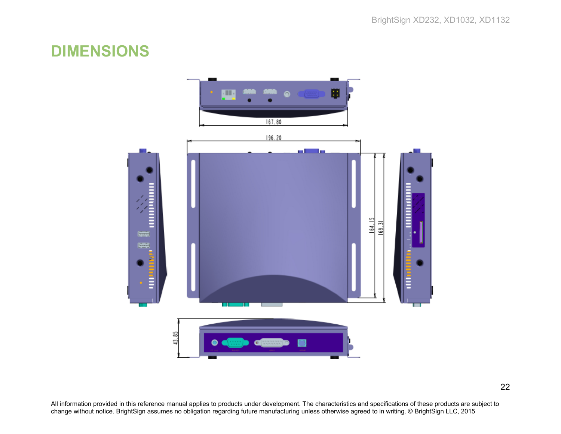# <span id="page-25-0"></span>**DIMENSIONS**